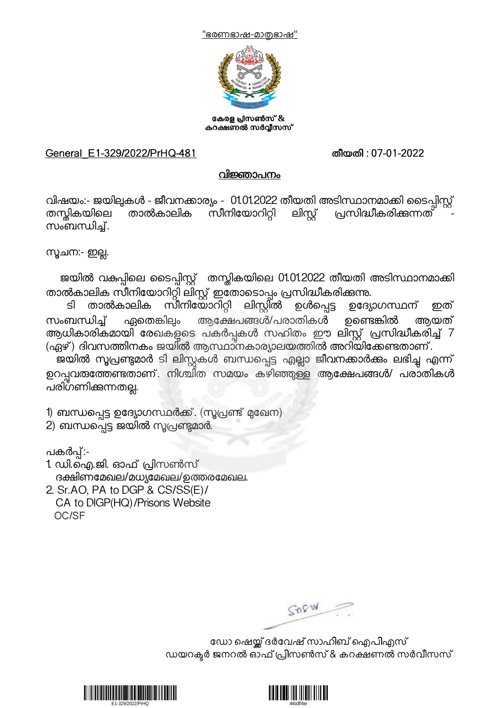



കേരള പ്രസൺസ് & കറക്ഷണൽ സർവ്വീസസ്

## General\_E1-329/2022/PrHQ-481 തീയതി : 07-01-2022

## വിജ്ഞാപനം

വിഷയം:- ജയിലുകൾ - ജീവനക്കാര്യം - 01.01.2022 തീയതി അടിസ്ഥാനമാക്കി ടൈപ്പിസ്റ്റ്<br>തസ്തികയിലെ താൽകാലിക സീനിയോറിറ്റി ലിസ്റ്റ് പ്രസിദ്ധീകരിക്കുന്നത് തന്തികയിലെ താൽകാലിക സീനിയോറിറ്റി<br>സംബന്ധിച്

1ചന:- ഇ4.

ജയിൽ വകുപ്പിലെ ടൈപ്പിസ്റ്റ് തന്റ്ലികയിലെ 01.01.2022 തീയതി അടിസ്ഥാനമാക്കി

താൽകാലിക സീനിയോറിറ്റി ലിസ്റ്റ് ഇതോടൊപ്പം പ്രസിദ്ധീകരിക്കുന്നു.<br>ടി താൽകാലിക സീനിയോറിറ്റി ലിസ്റ്റിൽ ഉൾപ്പെട്ട ഉദ്യോഗസ്ഥന് . സീനിയോറിറ്റി ലിസ്റ്റിൽ ഉൾപ്പെട്ട ഉദ്യോഗസ്ഥന് ഇത് സംബന്ധിച്ച് ഏതെങ്കിലും ആക്ഷേപങ്ങൾ/പരാതികൾ ഉണ്ടെങ്കിൽ ആയത്<br>ആധികാരികമായി രേഖകളടെ പകർപ്പകൾ സഹിതം ഈ ലിസ്റ്റ് പ്രസിദ്ധീകരിച്ച് 7 (ഏഴ്) ദിവസത്തിനകം ജയിൽ ആസ്ഥാനകാര്യാലയത്തിൽ അറിയിക്കേണ്ടതാണ്.

ജയിൽ സൂപ്രണ്ടുമാർ ടി ലിസ്റ്റകൾ ബന്ധപ്പെട്ട എല്ലാ ജീവനക്കാർക്കം ലഭിച്ച എന്ന് ഉറപ്പവതത്തേണ്ടതാണ്. നിശ്ചിത സമയം കഴിഞ്ഞുള്ള ആക്ഷേപങ്ങൾ/ പരാതികൾ പരിഗണിക്കന്നതല്ല.

1) ബന്ധപ്പെട്ട ഉദ്യോഗസ്ഥർക്ക്. (സൂപ്രണ്ട് മുഖേന)

2) ബന്ധപ്പെട്ട ജയിൽ സൂപ്രണ്ടുമാർ.

പകർപ്പ്:-

1. ഡി.ഐ.ജി. ഓഫ് \*ിസൺസ് ദക്ഷിണമേഖല/മധ്യമേഖല/ഉത്തരമേഖല.

2. Sr.AO, PA to DGP & CS/SS(E)/ CA to DIGP(HQ)/Prisons Website OC/SF

GOSW

ഡോ ഷെയ്ക് ദർവേഷ് സാഹിബ് ഐപിഎസ് ഡയറക്ടർ ജനറൽ ഓഫ് പ്രിസൺസ് & കറക്ഷണൽ സർവീസസ്



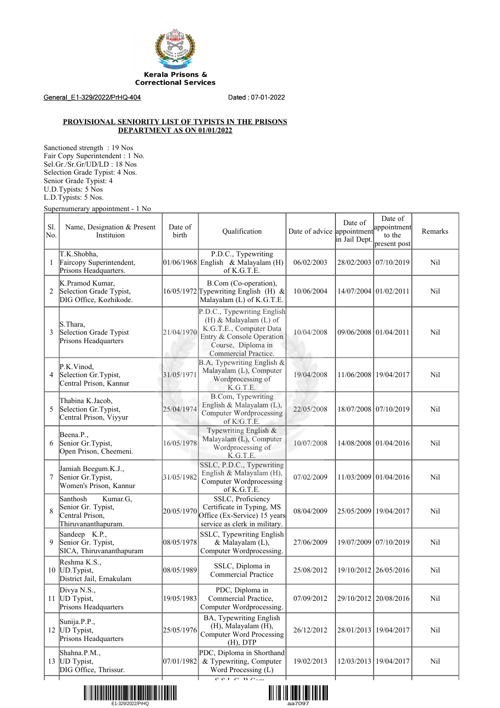

General\_E1-329/2022/PrHQ-404 Dated : 07-01-2022

## **PROVISIONAL SENIORITY LIST OF TYPISTS IN THE PRISONS DEPARTMENT AS ON 01/01/2022**

Sanctioned strength : 19 Nos Fair Copy Superintendent : 1 No. Sel.Gr./Sr.Gr/UD/LD : 18 Nos Selection Grade Typist: 4 Nos. Senior Grade Typist: 4 U.D.Typists: 5 Nos L.D.Typists: 5 Nos.

Supernumerary appointment - 1 No

| Sl.<br>No. | Name, Designation & Present<br>Instituion                                            | Date of<br>birth | Qualification                                                                                                                                               | Date of advice appointment appointment | Date of<br>in Jail Dept. | Date of<br>present post | Remarks |
|------------|--------------------------------------------------------------------------------------|------------------|-------------------------------------------------------------------------------------------------------------------------------------------------------------|----------------------------------------|--------------------------|-------------------------|---------|
| 1          | T.K.Shobha,<br>Faircopy Superintendent,<br>Prisons Headquarters.                     |                  | P.D.C., Typewriting<br>01/06/1968 English & Malayalam $(H)$<br>of K.G.T.E.                                                                                  | 06/02/2003                             |                          | 28/02/2003 07/10/2019   | Nil     |
| 2          | K.Pramod Kumar,<br>Selection Grade Typist,<br>DIG Office, Kozhikode.                 |                  | B.Com (Co-operation),<br>$16/05/1972$ Typewriting English (H) &<br>Malayalam (L) of K.G.T.E.                                                                | 10/06/2004                             | 14/07/2004 01/02/2011    |                         | Nil     |
| 3          | S.Thara.<br>Selection Grade Typist<br>Prisons Headquarters                           | 21/04/1970       | P.D.C., Typewriting English<br>(H) & Malayalam (L) of<br>K.G.T.E., Computer Data<br>Entry & Console Operation<br>Course, Diploma in<br>Commercial Practice. | 10/04/2008                             | 09/06/2008 01/04/2011    |                         | Nil     |
| 4          | P.K.Vinod,<br>Selection Gr. Typist,<br>Central Prison, Kannur                        | 31/05/1971       | B.A, Typewriting English &<br>Malayalam (L), Computer<br>Wordprocessing of<br>K.G.T.E.                                                                      | 19/04/2008                             | 11/06/2008 19/04/2017    |                         | Nil     |
| 5          | Thabina K.Jacob,<br>Selection Gr. Typist,<br>Central Prison, Viyyur                  | 25/04/1974       | B.Com, Typewriting<br>English & Malayalam (L),<br><b>Computer Wordprocessing</b><br>of K.G.T.E.                                                             | 22/05/2008                             |                          | 18/07/2008 07/10/2019   | Nil     |
| 6          | Beena.P.,<br>Senior Gr. Typist,<br>Open Prison, Cheemeni.                            | 16/05/1978       | Typewriting English &<br>Malayalam (L), Computer<br>Wordprocessing of<br>K.G.T.E.                                                                           | 10/07/2008                             |                          | 14/08/2008 01/04/2016   | Nil     |
| 7          | Jamiah Beegum.K.J.,<br>Senior Gr. Typist,<br>Women's Prison, Kannur                  | 31/05/1982       | SSLC, P.D.C., Typewriting<br>English & Malayalam (H),<br><b>Computer Wordprocessing</b><br>of K.G.T.E.                                                      | 07/02/2009                             |                          | 11/03/2009 01/04/2016   | Nil     |
| 8          | Santhosh<br>Kumar.G,<br>Senior Gr. Typist,<br>Central Prison,<br>Thiruvananthapuram. | 20/05/1970       | SSLC, Proficiency<br>Certificate in Typing, MS<br>Office (Ex-Service) 15 years<br>service as clerk in military.                                             | 08/04/2009                             | 25/05/2009               | 19/04/2017              | Nil     |
| 9          | Sandeep K.P.,<br>Senior Gr. Typist,<br>SICA, Thiruvananthapuram                      | 08/05/1978       | SSLC, Typewriting English<br>& Malayalam (L),<br>Computer Wordprocessing.                                                                                   | 27/06/2009                             |                          | 19/07/2009 07/10/2019   | Nil     |
| 10         | Reshma K.S.,<br>UD.Typist,<br>District Jail, Ernakulam                               | 08/05/1989       | SSLC, Diploma in<br><b>Commercial Practice</b>                                                                                                              | 25/08/2012                             |                          | 19/10/2012 26/05/2016   | Nil     |
|            | Divya N.S.,<br>11 UD Typist,<br>Prisons Headquarters                                 | 19/05/1983       | PDC, Diploma in<br>Commercial Practice,<br>Computer Wordprocessing.                                                                                         | 07/09/2012                             |                          | 29/10/2012 20/08/2016   | Nil     |
|            | Sunija.P.P.,<br>12 UD Typist,<br>Prisons Headquarters                                | 25/05/1976       | BA, Typewriting English<br>(H), Malayalam (H),<br><b>Computer Word Processing</b><br>$(H)$ , DTP                                                            | 26/12/2012                             | 28/01/2013               | 19/04/2017              | Nil     |
|            | Shahna.P.M.,<br>13 UD Typist,<br>DIG Office, Thrissur.                               | 07/01/1982       | PDC, Diploma in Shorthand<br>& Typewriting, Computer<br>Word Processing (L)<br>$\overline{\text{CCT} \cap \text{D} \cap \ldots}$                            | 19/02/2013                             | 12/03/2013               | 19/04/2017              | Nil     |